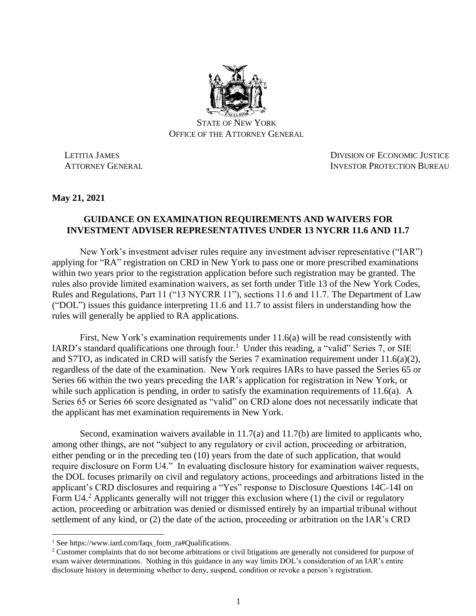

STATE OF NEW YORK OFFICE OF THE ATTORNEY GENERAL

 LETITIA JAMES DIVISION OF ECONOMIC JUSTICE ATTORNEY GENERAL **INVESTOR PROTECTION BUREAU** 

**May 21, 2021**

## **GUIDANCE ON EXAMINATION REQUIREMENTS AND WAIVERS FOR INVESTMENT ADVISER REPRESENTATIVES UNDER 13 NYCRR 11.6 AND 11.7**

New York's investment adviser rules require any investment adviser representative ("IAR") applying for "RA" registration on CRD in New York to pass one or more prescribed examinations within two years prior to the registration application before such registration may be granted. The rules also provide limited examination waivers, as set forth under Title 13 of the New York Codes, Rules and Regulations, Part 11 ("13 NYCRR 11"), sections 11.6 and 11.7. The Department of Law ("DOL") issues this guidance interpreting 11.6 and 11.7 to assist filers in understanding how the rules will generally be applied to RA applications.

First, New York's examination requirements under 11.6(a) will be read consistently with IARD's standard qualifications one through four.<sup>1</sup> Under this reading, a "valid" Series 7, or SIE and S7TO, as indicated in CRD will satisfy the Series 7 examination requirement under 11.6(a)(2), regardless of the date of the examination. New York requires IARs to have passed the Series 65 or Series 66 within the two years preceding the IAR's application for registration in New York, or while such application is pending, in order to satisfy the examination requirements of 11.6(a). A Series 65 or Series 66 score designated as "valid" on CRD alone does not necessarily indicate that the applicant has met examination requirements in New York.

Second, examination waivers available in 11.7(a) and 11.7(b) are limited to applicants who, among other things, are not "subject to any regulatory or civil action, proceeding or arbitration, either pending or in the preceding ten (10) years from the date of such application, that would require disclosure on Form U4." In evaluating disclosure history for examination waiver requests, the DOL focuses primarily on civil and regulatory actions, proceedings and arbitrations listed in the applicant's CRD disclosures and requiring a "Yes" response to Disclosure Questions 14C-14I on Form U4.<sup>2</sup> Applicants generally will not trigger this exclusion where (1) the civil or regulatory action, proceeding or arbitration was denied or dismissed entirely by an impartial tribunal without settlement of any kind, or (2) the date of the action, proceeding or arbitration on the IAR's CRD

<sup>&</sup>lt;sup>1</sup> See https://www.iard.com/faqs\_form\_ra#Qualifications.

<sup>&</sup>lt;sup>2</sup> Customer complaints that do not become arbitrations or civil litigations are generally not considered for purpose of exam waiver determinations. Nothing in this guidance in any way limits DOL's consideration of an IAR's entire disclosure history in determining whether to deny, suspend, condition or revoke a person's registration.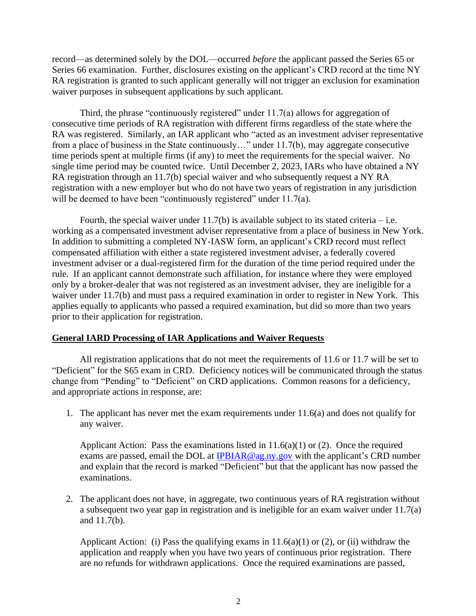record—as determined solely by the DOL—occurred *before* the applicant passed the Series 65 or Series 66 examination. Further, disclosures existing on the applicant's CRD record at the time NY RA registration is granted to such applicant generally will not trigger an exclusion for examination waiver purposes in subsequent applications by such applicant.

Third, the phrase "continuously registered" under 11.7(a) allows for aggregation of consecutive time periods of RA registration with different firms regardless of the state where the RA was registered. Similarly, an IAR applicant who "acted as an investment adviser representative from a place of business in the State continuously…" under 11.7(b), may aggregate consecutive time periods spent at multiple firms (if any) to meet the requirements for the special waiver. No single time period may be counted twice. Until December 2, 2023, IARs who have obtained a NY RA registration through an 11.7(b) special waiver and who subsequently request a NY RA registration with a new employer but who do not have two years of registration in any jurisdiction will be deemed to have been "continuously registered" under 11.7(a).

Fourth, the special waiver under  $11.7(b)$  is available subject to its stated criteria – i.e. working as a compensated investment adviser representative from a place of business in New York. In addition to submitting a completed NY-IASW form, an applicant's CRD record must reflect compensated affiliation with either a state registered investment adviser, a federally covered investment adviser or a dual-registered firm for the duration of the time period required under the rule. If an applicant cannot demonstrate such affiliation, for instance where they were employed only by a broker-dealer that was not registered as an investment adviser, they are ineligible for a waiver under 11.7(b) and must pass a required examination in order to register in New York. This applies equally to applicants who passed a required examination, but did so more than two years prior to their application for registration.

## **General IARD Processing of IAR Applications and Waiver Requests**

All registration applications that do not meet the requirements of 11.6 or 11.7 will be set to "Deficient" for the S65 exam in CRD. Deficiency notices will be communicated through the status change from "Pending" to "Deficient" on CRD applications. Common reasons for a deficiency, and appropriate actions in response, are:

1. The applicant has never met the exam requirements under 11.6(a) and does not qualify for any waiver.

Applicant Action: Pass the examinations listed in  $11.6(a)(1)$  or  $(2)$ . Once the required exams are passed, email the DOL at [IPBIAR@ag.ny.gov](mailto:IPBIAR@ag.ny.gov) with the applicant's CRD number and explain that the record is marked "Deficient" but that the applicant has now passed the examinations.

2. The applicant does not have, in aggregate, two continuous years of RA registration without a subsequent two year gap in registration and is ineligible for an exam waiver under 11.7(a) and 11.7(b).

Applicant Action: (i) Pass the qualifying exams in  $11.6(a)(1)$  or (2), or (ii) withdraw the application and reapply when you have two years of continuous prior registration. There are no refunds for withdrawn applications. Once the required examinations are passed,